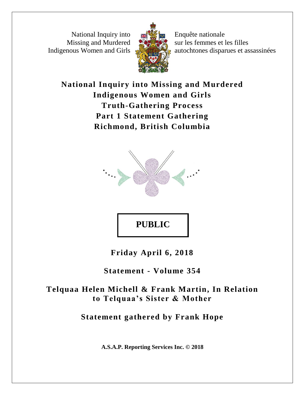National Inquiry into Missing and Murdered Indigenous Women and Girls



Enquête nationale sur les femmes et les filles autochtones disparues et assassinées

# **National Inquiry into Missing and Murdered Indigenous Women and Girls Truth-Gathering Process Part 1 Statement Gathering Richmond, British Columbia**



# **PUBLIC**

**Friday April 6, 2018**

**Statement - Volume 354**

# **Telquaa Helen Michell & Frank Martin, In Relation to Telquaa's Sister & Mother**

# **Statement gathered by Frank Hope**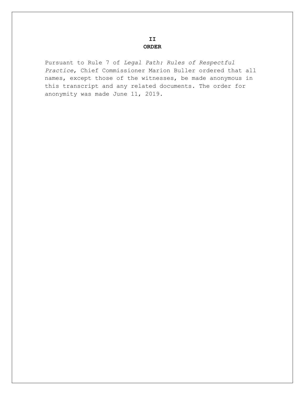#### **II ORDER**

Pursuant to Rule 7 of *Legal Path: Rules of Respectful Practice*, Chief Commissioner Marion Buller ordered that all names, except those of the witnesses, be made anonymous in this transcript and any related documents. The order for anonymity was made June 11, 2019.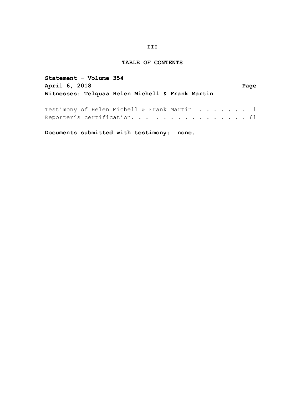#### **III**

### **TABLE OF CONTENTS**

| Statement - Volume 354                          |      |
|-------------------------------------------------|------|
| April 6, 2018                                   | Page |
| Witnesses: Telquaa Helen Michell & Frank Martin |      |
|                                                 |      |
| Testimony of Helen Michell & Frank Martin 1     |      |
| Reporter's certification. 61                    |      |

**Documents submitted with testimony: none.**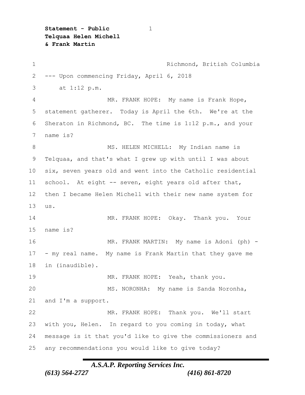**Statement - Public** 1 **Telquaa Helen Michell & Frank Martin**

 Richmond, British Columbia --- Upon commencing Friday, April 6, 2018 3 at 1:12 p.m. MR. FRANK HOPE: My name is Frank Hope, statement gatherer. Today is April the 6th. We're at the Sheraton in Richmond, BC. The time is 1:12 p.m., and your name is? MS. HELEN MICHELL:My Indian name is Telquaa, and that's what I grew up with until I was about six, seven years old and went into the Catholic residential school.At eight -- seven, eight years old after that, then I became Helen Michell with their new name system for us. MR. FRANK HOPE:Okay.Thank you.Your name is? MR. FRANK MARTIN:My name is Adoni (ph) - - my real name.My name is Frank Martin that they gave me in (inaudible). MR. FRANK HOPE:Yeah, thank you. MS. NORONHA:My name is Sanda Noronha, and I'm a support. MR. FRANK HOPE:Thank you.We'll start with you, Helen.In regard to you coming in today, what message is it that you'd like to give the commissioners and any recommendations you would like to give today?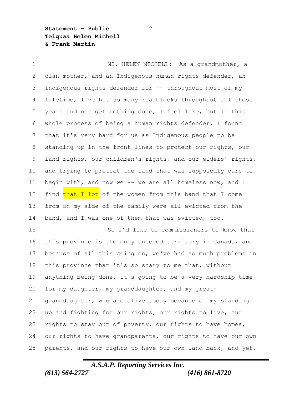**Statement - Public** 2 **Telquaa Helen Michell & Frank Martin**

 MS. HELEN MICHELL:As a grandmother, a clan mother, and an Indigenous human rights defender, an Indigenous rights defender for -- throughout most of my lifetime, I've hit so many roadblocks throughout all these years and not get nothing done, I feel like, but in this whole process of being a human rights defender, I found that it's very hard for us as Indigenous people to be standing up in the front lines to protect our rights, our land rights, our children's rights, and our elders' rights, and trying to protect the land that was supposedly ours to begin with, and now we -- we are all homeless now, and I 12 find that I lot of the women from this band that I come from on my side of the family were all evicted from the band, and I was one of them that was evicted, too. So I'd like to commissioners to know that this province is the only unceded territory in Canada, and because of all this going on, we've had so much problems in this province that it's so scary to me that, without anything being done, it's going to be a very hardship time for my daughter, my granddaughter, and my great- granddaughter, who are alive today because of my standing up and fighting for our rights, our rights to live, our rights to stay out of poverty, our rights to have homes,

 our rights to have grandparents, our rights to have our own parents, and our rights to have our own land back, and yet,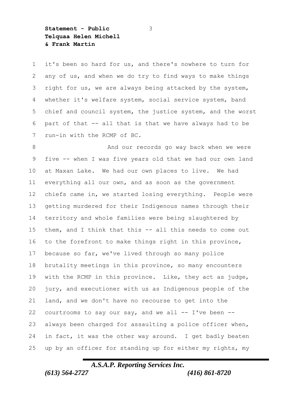**Statement - Public** 3 **Telquaa Helen Michell & Frank Martin**

 it's been so hard for us, and there's nowhere to turn for any of us, and when we do try to find ways to make things right for us, we are always being attacked by the system, whether it's welfare system, social service system, band chief and council system, the justice system, and the worst part of that -- all that is that we have always had to be run-in with the RCMP of BC.

8 And our records go way back when we were five -- when I was five years old that we had our own land at Maxan Lake.We had our own places to live.We had everything all our own, and as soon as the government chiefs came in, we started losing everything.People were getting murdered for their Indigenous names through their territory and whole families were being slaughtered by them, and I think that this -- all this needs to come out to the forefront to make things right in this province, because so far, we've lived through so many police brutality meetings in this province, so many encounters with the RCMP in this province.Like, they act as judge, jury, and executioner with us as Indigenous people of the land, and we don't have no recourse to get into the 22 courtrooms to say our say, and we all  $--$  I've been  $--$  always been charged for assaulting a police officer when, in fact, it was the other way around.I get badly beaten up by an officer for standing up for either my rights, my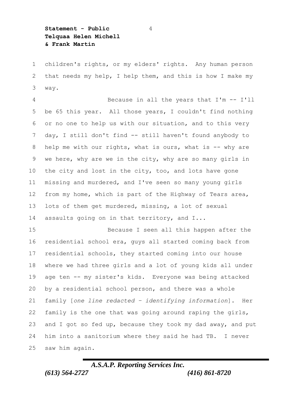**Statement - Public** 4 **Telquaa Helen Michell & Frank Martin**

 children's rights, or my elders' rights.Any human person 2 that needs my help, I help them, and this is how I make my way.

 Because in all the years that I'm -- I'll be 65 this year.All those years, I couldn't find nothing or no one to help us with our situation, and to this very day, I still don't find -- still haven't found anybody to 8 help me with our rights, what is ours, what is -- why are we here, why are we in the city, why are so many girls in the city and lost in the city, too, and lots have gone missing and murdered, and I've seen so many young girls from my home, which is part of the Highway of Tears area, lots of them get murdered, missing, a lot of sexual assaults going on in that territory, and I...

 Because I seen all this happen after the residential school era, guys all started coming back from residential schools, they started coming into our house where we had three girls and a lot of young kids all under age ten -- my sister's kids.Everyone was being attacked by a residential school person, and there was a whole family [*one line redacted – identifying information*].Her family is the one that was going around raping the girls, 23 and I got so fed up, because they took my dad away, and put him into a sanitorium where they said he had TB.I never saw him again.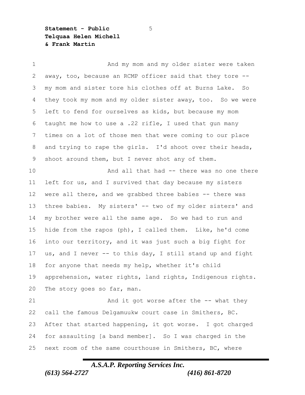**Statement - Public** 5 **Telquaa Helen Michell & Frank Martin**

1 And my mom and my older sister were taken away, too, because an RCMP officer said that they tore -- my mom and sister tore his clothes off at Burns Lake.So they took my mom and my older sister away, too.So we were left to fend for ourselves as kids, but because my mom taught me how to use a .22 rifle, I used that gun many times on a lot of those men that were coming to our place and trying to rape the girls.I'd shoot over their heads, shoot around them, but I never shot any of them. And all that had -- there was no one there left for us, and I survived that day because my sisters were all there, and we grabbed three babies -- there was three babies.My sisters' -- two of my older sisters' and my brother were all the same age.So we had to run and hide from the rapos (ph), I called them.Like, he'd come into our territory, and it was just such a big fight for us, and I never -- to this day, I still stand up and fight for anyone that needs my help, whether it's child apprehension, water rights, land rights, Indigenous rights. The story goes so far, man. 21 And it got worse after the -- what they call the famous Delgamuukw court case in Smithers, BC. After that started happening, it got worse.I got charged for assaulting [a band member].So I was charged in the next room of the same courthouse in Smithers, BC, where

# *A.S.A.P. Reporting Services Inc.*

*(613) 564-2727 (416) 861-8720*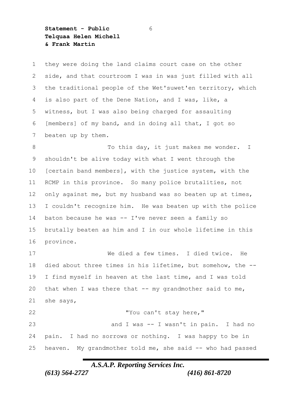**Statement - Public** 6 **Telquaa Helen Michell & Frank Martin**

 they were doing the land claims court case on the other side, and that courtroom I was in was just filled with all the traditional people of the Wet'suwet'en territory, which is also part of the Dene Nation, and I was, like, a witness, but I was also being charged for assaulting [members] of my band, and in doing all that, I got so beaten up by them.

8 To this day, it just makes me wonder. I shouldn't be alive today with what I went through the [certain band members], with the justice system, with the RCMP in this province.So many police brutalities, not 12 only against me, but my husband was so beaten up at times, I couldn't recognize him.He was beaten up with the police baton because he was -- I've never seen a family so brutally beaten as him and I in our whole lifetime in this province.

 We died a few times.I died twice.He died about three times in his lifetime, but somehow, the -- I find myself in heaven at the last time, and I was told 20 that when I was there that -- my grandmother said to me, she says, "You can't stay here," and I was -- I wasn't in pain.I had no

 pain.I had no sorrows or nothing.I was happy to be in heaven.My grandmother told me, she said -- who had passed

*A.S.A.P. Reporting Services Inc.*

*(613) 564-2727 (416) 861-8720*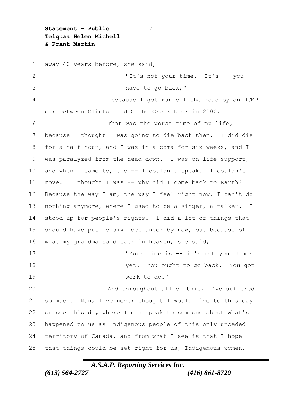**Statement - Public** 7 **Telquaa Helen Michell & Frank Martin**

 away 40 years before, she said, "It's not your time.It's -- you have to go back," because I got run off the road by an RCMP car between Clinton and Cache Creek back in 2000. That was the worst time of my life, because I thought I was going to die back then.I did die for a half-hour, and I was in a coma for six weeks, and I was paralyzed from the head down.I was on life support, and when I came to, the -- I couldn't speak.I couldn't move.I thought I was -- why did I come back to Earth? Because the way I am, the way I feel right now, I can't do nothing anymore, where I used to be a singer, a talker.I stood up for people's rights.I did a lot of things that should have put me six feet under by now, but because of what my grandma said back in heaven, she said, "Your time is -- it's not your time yet.You ought to go back.You got work to do." And throughout all of this, I've suffered so much.Man, I've never thought I would live to this day or see this day where I can speak to someone about what's happened to us as Indigenous people of this only unceded territory of Canada, and from what I see is that I hope that things could be set right for us, Indigenous women,

### *A.S.A.P. Reporting Services Inc. (613) 564-2727 (416) 861-8720*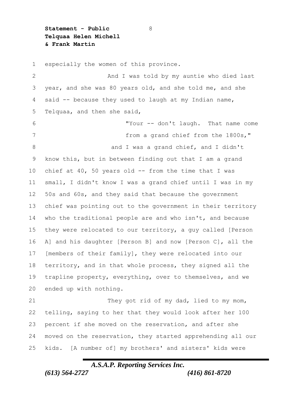**Statement - Public** 8 **Telquaa Helen Michell & Frank Martin**

 especially the women of this province. And I was told by my auntie who died last year, and she was 80 years old, and she told me, and she said -- because they used to laugh at my Indian name, Telquaa, and then she said, "Your -- don't laugh.That name come from a grand chief from the 1800s," 8 and I was a grand chief, and I didn't know this, but in between finding out that I am a grand chief at 40, 50 years old -- from the time that I was small, I didn't know I was a grand chief until I was in my 50s and 60s, and they said that because the government chief was pointing out to the government in their territory who the traditional people are and who isn't, and because they were relocated to our territory, a guy called [Person A] and his daughter [Person B] and now [Person C], all the [members of their family], they were relocated into our territory, and in that whole process, they signed all the trapline property, everything, over to themselves, and we ended up with nothing. They got rid of my dad, lied to my mom, telling, saying to her that they would look after her 100 percent if she moved on the reservation, and after she moved on the reservation, they started apprehending all our kids.[A number of] my brothers' and sisters' kids were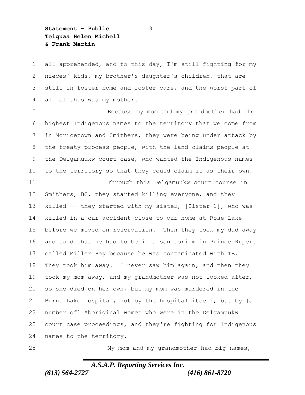**Statement - Public** 9 **Telquaa Helen Michell & Frank Martin**

 all apprehended, and to this day, I'm still fighting for my nieces' kids, my brother's daughter's children, that are still in foster home and foster care, and the worst part of all of this was my mother.

 Because my mom and my grandmother had the highest Indigenous names to the territory that we come from in Moricetown and Smithers, they were being under attack by the treaty process people, with the land claims people at the Delgamuukw court case, who wanted the Indigenous names to the territory so that they could claim it as their own.

 Through this Delgamuukw court course in Smithers, BC, they started killing everyone, and they killed -- they started with my sister, [Sister 1], who was killed in a car accident close to our home at Rose Lake before we moved on reservation.Then they took my dad away and said that he had to be in a sanitorium in Prince Rupert called Miller Bay because he was contaminated with TB. They took him away.I never saw him again, and then they took my mom away, and my grandmother was not looked after, so she died on her own, but my mom was murdered in the Burns Lake hospital, not by the hospital itself, but by [a number of] Aboriginal women who were in the Delgamuukw court case proceedings, and they're fighting for Indigenous names to the territory.

My mom and my grandmother had big names,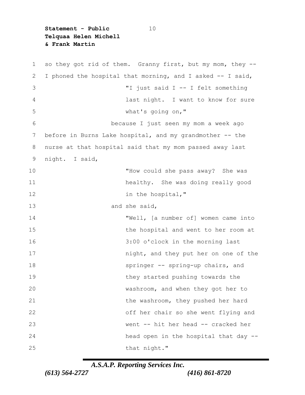**Statement - Public** 10 **Telquaa Helen Michell & Frank Martin**

 so they got rid of them.Granny first, but my mom, they -- I phoned the hospital that morning, and I asked -- I said, "I just said I -- I felt something last night.I want to know for sure what's going on," because I just seen my mom a week ago 7 before in Burns Lake hospital, and my grandmother -- the nurse at that hospital said that my mom passed away last night.I said, "How could she pass away?She was healthy.She was doing really good 12 in the hospital," and she said, "Well, [a number of] women came into the hospital and went to her room at 3:00 o'clock in the morning last **night, and they put her on one of the**  springer -- spring-up chairs, and they started pushing towards the washroom, and when they got her to the washroom, they pushed her hard off her chair so she went flying and went -- hit her head -- cracked her head open in the hospital that day -- 25 that night."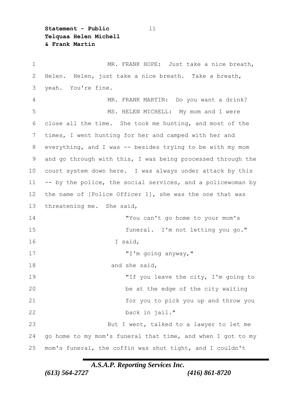**Statement - Public** 11 **Telquaa Helen Michell & Frank Martin**

 MR. FRANK HOPE:Just take a nice breath, Helen.Helen, just take a nice breath.Take a breath, yeah.You're fine. MR. FRANK MARTIN:Do you want a drink? MS. HELEN MICHELL:My mom and I were close all the time.She took me hunting, and most of the times, I went hunting for her and camped with her and everything, and I was -- besides trying to be with my mom and go through with this, I was being processed through the court system down here.I was always under attack by this -- by the police, the social services, and a policewoman by the name of [Police Officer 1], she was the one that was threatening me.She said, "You can't go home to your mom's funeral.I'm not letting you go." I said, "I'm going anyway," 18 and she said, 19 TH you leave the city, I'm going to be at the edge of the city waiting for you to pick you up and throw you back in jail." But I went, talked to a lawyer to let me go home to my mom's funeral that time, and when I got to my mom's funeral, the coffin was shut tight, and I couldn't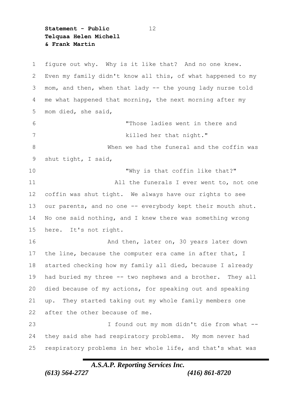**Statement - Public** 12 **Telquaa Helen Michell & Frank Martin**

 figure out why.Why is it like that?And no one knew. Even my family didn't know all this, of what happened to my mom, and then, when that lady -- the young lady nurse told me what happened that morning, the next morning after my mom died, she said, "Those ladies went in there and 7 killed her that night." When we had the funeral and the coffin was shut tight, I said, "Why is that coffin like that?" All the funerals I ever went to, not one coffin was shut tight.We always have our rights to see our parents, and no one -- everybody kept their mouth shut. No one said nothing, and I knew there was something wrong here.It's not right. 16 And then, later on, 30 years later down 17 the line, because the computer era came in after that, I started checking how my family all died, because I already had buried my three -- two nephews and a brother.They all died because of my actions, for speaking out and speaking up.They started taking out my whole family members one after the other because of me. I found out my mom didn't die from what -- they said she had respiratory problems.My mom never had respiratory problems in her whole life, and that's what was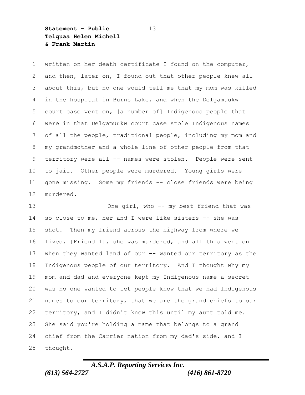**Statement - Public** 13 **Telquaa Helen Michell & Frank Martin**

 written on her death certificate I found on the computer, and then, later on, I found out that other people knew all about this, but no one would tell me that my mom was killed in the hospital in Burns Lake, and when the Delgamuukw court case went on, [a number of] Indigenous people that were in that Delgamuukw court case stole Indigenous names of all the people, traditional people, including my mom and my grandmother and a whole line of other people from that territory were all -- names were stolen.People were sent to jail.Other people were murdered.Young girls were gone missing.Some my friends -- close friends were being murdered.

 One girl, who -- my best friend that was so close to me, her and I were like sisters -- she was shot.Then my friend across the highway from where we lived, [Friend 1], she was murdered, and all this went on when they wanted land of our -- wanted our territory as the Indigenous people of our territory.And I thought why my mom and dad and everyone kept my Indigenous name a secret was no one wanted to let people know that we had Indigenous names to our territory, that we are the grand chiefs to our territory, and I didn't know this until my aunt told me. She said you're holding a name that belongs to a grand chief from the Carrier nation from my dad's side, and I thought,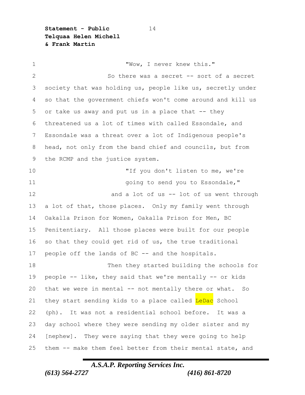**Statement - Public** 14 **Telquaa Helen Michell & Frank Martin**

1 "Wow, I never knew this." 2 So there was a secret -- sort of a secret society that was holding us, people like us, secretly under so that the government chiefs won't come around and kill us or take us away and put us in a place that -- they threatened us a lot of times with called Essondale, and Essondale was a threat over a lot of Indigenous people's head, not only from the band chief and councils, but from the RCMP and the justice system. "If you don't listen to me, we're going to send you to Essondale," 12 and a lot of us -- lot of us went through a lot of that, those places.Only my family went through Oakalla Prison for Women, Oakalla Prison for Men, BC Penitentiary.All those places were built for our people so that they could get rid of us, the true traditional people off the lands of BC -- and the hospitals. Then they started building the schools for people -- like, they said that we're mentally -- or kids that we were in mental -- not mentally there or what.So 21 they start sending kids to a place called LeDac School (ph).It was not a residential school before.It was a day school where they were sending my older sister and my [nephew].They were saying that they were going to help them -- make them feel better from their mental state, and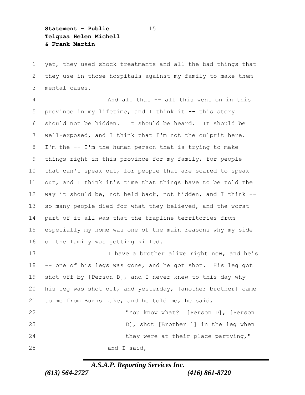**Statement - Public** 15 **Telquaa Helen Michell & Frank Martin**

 yet, they used shock treatments and all the bad things that they use in those hospitals against my family to make them mental cases.

 And all that -- all this went on in this 5 province in my lifetime, and I think it -- this story should not be hidden.It should be heard.It should be well-exposed, and I think that I'm not the culprit here. I'm the -- I'm the human person that is trying to make things right in this province for my family, for people that can't speak out, for people that are scared to speak out, and I think it's time that things have to be told the way it should be, not held back, not hidden, and I think -- so many people died for what they believed, and the worst part of it all was that the trapline territories from especially my home was one of the main reasons why my side of the family was getting killed. 17 17 I have a brother alive right now, and he's -- one of his legs was gone, and he got shot.His leg got shot off by [Person D], and I never knew to this day why

 to me from Burns Lake, and he told me, he said, "You know what?[Person D], [Person D], shot [Brother 1] in the leg when 24 they were at their place partying," and I said,

his leg was shot off, and yesterday, [another brother] came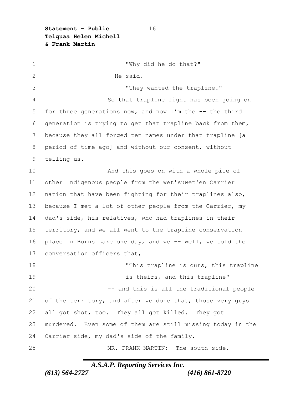**Statement - Public** 16 **Telquaa Helen Michell & Frank Martin**

 "Why did he do that?" He said, "They wanted the trapline." So that trapline fight has been going on for three generations now, and now I'm the -- the third generation is trying to get that trapline back from them, because they all forged ten names under that trapline [a period of time ago] and without our consent, without telling us. And this goes on with a whole pile of other Indigenous people from the Wet'suwet'en Carrier nation that have been fighting for their traplines also, because I met a lot of other people from the Carrier, my dad's side, his relatives, who had traplines in their territory, and we all went to the trapline conservation place in Burns Lake one day, and we -- well, we told the conversation officers that, 18 This trapline is ours, this trapline **19 is theirs, and this trapline"**  -- and this is all the traditional people 21 of the territory, and after we done that, those very guys all got shot, too.They all got killed.They got murdered.Even some of them are still missing today in the Carrier side, my dad's side of the family. MR. FRANK MARTIN:The south side.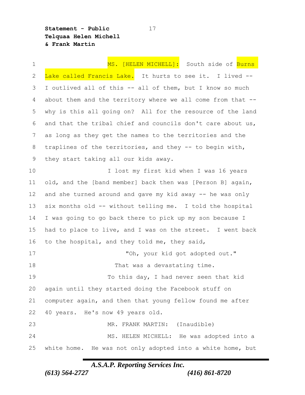**Statement - Public** 17 **Telquaa Helen Michell & Frank Martin**

1 MS. [HELEN MICHELL]: South side of **Burns**  Lake called Francis Lake.It hurts to see it.I lived -- I outlived all of this -- all of them, but I know so much about them and the territory where we all come from that -- why is this all going on?All for the resource of the land and that the tribal chief and councils don't care about us, as long as they get the names to the territories and the traplines of the territories, and they -- to begin with, they start taking all our kids away. I lost my first kid when I was 16 years old, and the [band member] back then was [Person B] again, and she turned around and gave my kid away -- he was only six months old -- without telling me.I told the hospital I was going to go back there to pick up my son because I had to place to live, and I was on the street.I went back to the hospital, and they told me, they said, 17 The set of the sour kid got adopted out." **That was a devastating time.** 19 To this day, I had never seen that kid again until they started doing the Facebook stuff on computer again, and then that young fellow found me after 40 years.He's now 49 years old. MR. FRANK MARTIN:(Inaudible) MS. HELEN MICHELL:He was adopted into a white home.He was not only adopted into a white home, but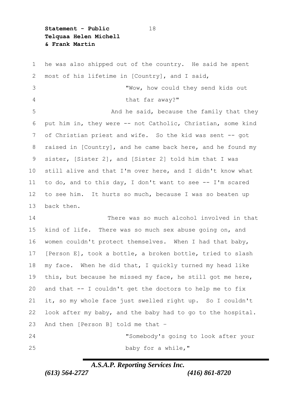**Statement - Public** 18 **Telquaa Helen Michell & Frank Martin**

 he was also shipped out of the country.He said he spent most of his lifetime in [Country], and I said, "Wow, how could they send kids out 4 that far away?" **And he said, because the family that they**  put him in, they were -- not Catholic, Christian, some kind of Christian priest and wife.So the kid was sent -- got 8 raised in [Country], and he came back here, and he found my sister, [Sister 2], and [Sister 2] told him that I was still alive and that I'm over here, and I didn't know what to do, and to this day, I don't want to see -- I'm scared to see him.It hurts so much, because I was so beaten up back then. There was so much alcohol involved in that kind of life.There was so much sex abuse going on, and women couldn't protect themselves.When I had that baby, [Person E], took a bottle, a broken bottle, tried to slash my face.When he did that, I quickly turned my head like this, but because he missed my face, he still got me here, and that -- I couldn't get the doctors to help me to fix it, so my whole face just swelled right up.So I couldn't look after my baby, and the baby had to go to the hospital. And then [Person B] told me that – "Somebody's going to look after your

25 baby for a while,"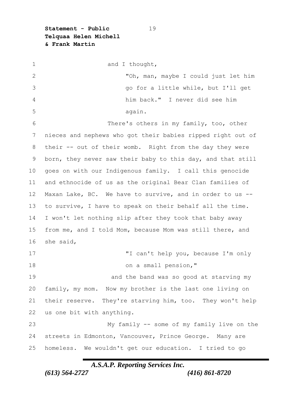**Statement - Public** 19 **Telquaa Helen Michell & Frank Martin**

1 and I thought, "Oh, man, maybe I could just let him go for a little while, but I'll get him back."I never did see him again. There's others in my family, too, other nieces and nephews who got their babies ripped right out of their -- out of their womb.Right from the day they were born, they never saw their baby to this day, and that still goes on with our Indigenous family.I call this genocide and ethnocide of us as the original Bear Clan families of Maxan Lake, BC.We have to survive, and in order to us -- to survive, I have to speak on their behalf all the time. I won't let nothing slip after they took that baby away from me, and I told Mom, because Mom was still there, and she said, "I can't help you, because I'm only 18 on a small pension," **19 and the band was so good at starving my**  family, my mom.Now my brother is the last one living on their reserve.They're starving him, too.They won't help us one bit with anything. My family -- some of my family live on the streets in Edmonton, Vancouver, Prince George.Many are homeless.We wouldn't get our education.I tried to go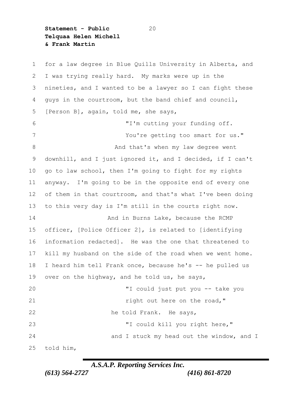**Statement - Public** 20 **Telquaa Helen Michell & Frank Martin**

 for a law degree in Blue Quills University in Alberta, and I was trying really hard.My marks were up in the nineties, and I wanted to be a lawyer so I can fight these guys in the courtroom, but the band chief and council, [Person B], again, told me, she says, "I'm cutting your funding off. You're getting too smart for us." **8 And that's when my law degree went**  downhill, and I just ignored it, and I decided, if I can't go to law school, then I'm going to fight for my rights anyway.I'm going to be in the opposite end of every one 12 of them in that courtroom, and that's what I've been doing to this very day is I'm still in the courts right now. **And in Burns Lake, because the RCMP**  officer, [Police Officer 2], is related to [identifying information redacted].He was the one that threatened to kill my husband on the side of the road when we went home. I heard him tell Frank once, because he's -- he pulled us over on the highway, and he told us, he says, "I could just put you -- take you **right out here on the road,"**  he told Frank.He says, "I could kill you right here," 24 and I stuck my head out the window, and I told him,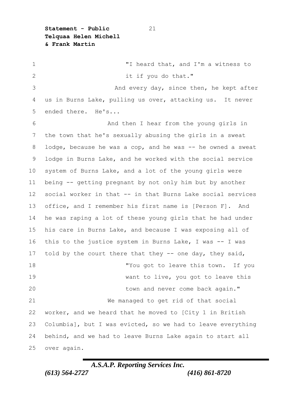**Statement - Public** 21 **Telquaa Helen Michell & Frank Martin**

 "I heard that, and I'm a witness to 2 it if you do that." And every day, since then, he kept after us in Burns Lake, pulling us over, attacking us.It never ended there.He's... And then I hear from the young girls in the town that he's sexually abusing the girls in a sweat 8 lodge, because he was a cop, and he was -- he owned a sweat lodge in Burns Lake, and he worked with the social service system of Burns Lake, and a lot of the young girls were being -- getting pregnant by not only him but by another social worker in that -- in that Burns Lake social services office, and I remember his first name is [Person F].And he was raping a lot of these young girls that he had under his care in Burns Lake, and because I was exposing all of this to the justice system in Burns Lake, I was -- I was 17 told by the court there that they -- one day, they said, "You got to leave this town.If you 19 Want to live, you got to leave this town and never come back again." We managed to get rid of that social worker, and we heard that he moved to [City 1 in British Columbia], but I was evicted, so we had to leave everything behind, and we had to leave Burns Lake again to start all over again.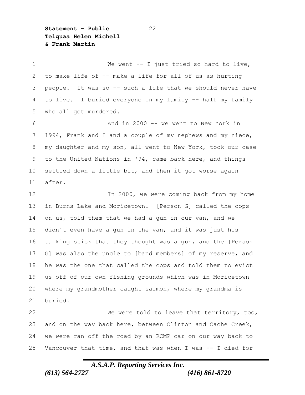**Statement - Public** 22 **Telquaa Helen Michell & Frank Martin**

1 We went -- I just tried so hard to live, to make life of -- make a life for all of us as hurting people.It was so -- such a life that we should never have to live.I buried everyone in my family -- half my family who all got murdered. And in 2000 -- we went to New York in 1994, Frank and I and a couple of my nephews and my niece, my daughter and my son, all went to New York, took our case to the United Nations in '94, came back here, and things settled down a little bit, and then it got worse again after. In 2000, we were coming back from my home in Burns Lake and Moricetown.[Person G] called the cops on us, told them that we had a gun in our van, and we didn't even have a gun in the van, and it was just his talking stick that they thought was a gun, and the [Person 17 G] was also the uncle to [band members] of my reserve, and he was the one that called the cops and told them to evict us off of our own fishing grounds which was in Moricetown where my grandmother caught salmon, where my grandma is buried. We were told to leave that territory, too, and on the way back here, between Clinton and Cache Creek, we were ran off the road by an RCMP car on our way back to Vancouver that time, and that was when I was -- I died for

## *A.S.A.P. Reporting Services Inc.*

*(613) 564-2727 (416) 861-8720*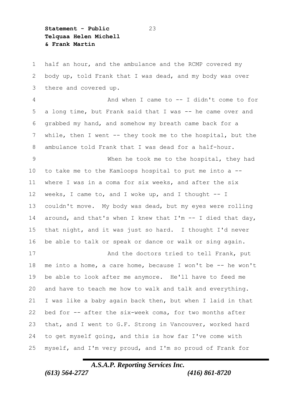**Statement - Public** 23 **Telquaa Helen Michell & Frank Martin**

 half an hour, and the ambulance and the RCMP covered my body up, told Frank that I was dead, and my body was over there and covered up.

 And when I came to -- I didn't come to for a long time, but Frank said that I was -- he came over and grabbed my hand, and somehow my breath came back for a while, then I went -- they took me to the hospital, but the ambulance told Frank that I was dead for a half-hour.

 When he took me to the hospital, they had to take me to the Kamloops hospital to put me into a -- where I was in a coma for six weeks, and after the six weeks, I came to, and I woke up, and I thought -- I couldn't move.My body was dead, but my eyes were rolling around, and that's when I knew that I'm -- I died that day, that night, and it was just so hard.I thought I'd never be able to talk or speak or dance or walk or sing again.

17 And the doctors tried to tell Frank, put me into a home, a care home, because I won't be -- he won't be able to look after me anymore.He'll have to feed me and have to teach me how to walk and talk and everything. I was like a baby again back then, but when I laid in that bed for -- after the six-week coma, for two months after that, and I went to G.F. Strong in Vancouver, worked hard to get myself going, and this is how far I've come with myself, and I'm very proud, and I'm so proud of Frank for

## *A.S.A.P. Reporting Services Inc. (613) 564-2727 (416) 861-8720*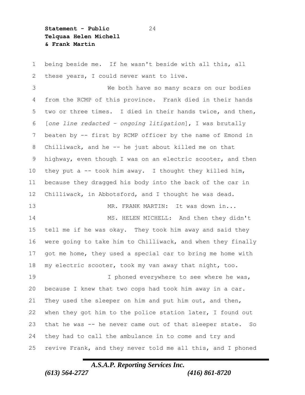**Statement - Public** 24 **Telquaa Helen Michell & Frank Martin**

 being beside me.If he wasn't beside with all this, all these years, I could never want to live.

 We both have so many scars on our bodies from the RCMP of this province.Frank died in their hands two or three times.I died in their hands twice, and then, [*one line redacted – ongoing litigation*], I was brutally beaten by -- first by RCMP officer by the name of Emond in Chilliwack, and he -- he just about killed me on that highway, even though I was on an electric scooter, and then they put a -- took him away.I thought they killed him, because they dragged his body into the back of the car in Chilliwack, in Abbotsford, and I thought he was dead. MR. FRANK MARTIN:It was down in... MS. HELEN MICHELL:And then they didn't tell me if he was okay.They took him away and said they were going to take him to Chilliwack, and when they finally got me home, they used a special car to bring me home with my electric scooter, took my van away that night, too. 19 I phoned everywhere to see where he was, because I knew that two cops had took him away in a car.

 They used the sleeper on him and put him out, and then, 22 when they got him to the police station later, I found out that he was -- he never came out of that sleeper state.So they had to call the ambulance in to come and try and revive Frank, and they never told me all this, and I phoned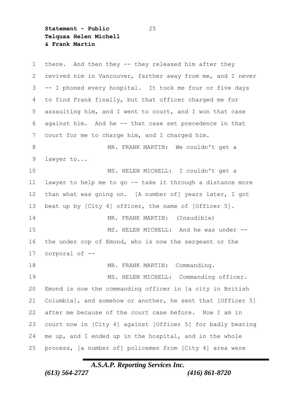**Statement - Public** 25 **Telquaa Helen Michell & Frank Martin**

 there.And then they -- they released him after they revived him in Vancouver, farther away from me, and I never -- I phoned every hospital.It took me four or five days to find Frank finally, but that officer charged me for assaulting him, and I went to court, and I won that case against him.And he -- that case set precedence in that court for me to charge him, and I charged him. MR. FRANK MARTIN:We couldn't get a lawyer to... MS. HELEN MICHELL:I couldn't get a lawyer to help me to go -- take it through a distance more than what was going on.[A number of] years later, I got beat up by [City 4] officer, the name of [Officer 5]. MR. FRANK MARTIN:(Inaudible) MS. HELEN MICHELL:And he was under -- the under cop of Emond, who is now the sergeant or the corporal of -- MR. FRANK MARTIN:Commanding. MS. HELEN MICHELL:Commanding officer. Emond is now the commanding officer in [a city in British Columbia], and somehow or another, he sent that [Officer 5] after me because of the court case before.Now I am in court now in [City 4] against [Officer 5] for badly beating me up, and I ended up in the hospital, and in the whole process, [a number of] policemen from [City 4] area were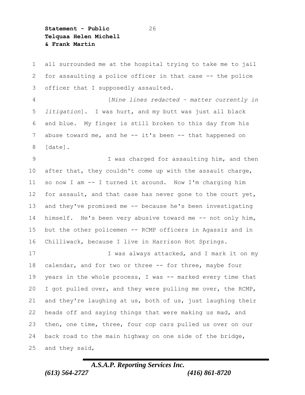**Statement - Public** 26 **Telquaa Helen Michell & Frank Martin**

 all surrounded me at the hospital trying to take me to jail for assaulting a police officer in that case -- the police officer that I supposedly assaulted. [*Nine lines redacted – matter currently in litigation*].I was hurt, and my butt was just all black and blue.My finger is still broken to this day from his abuse toward me, and he -- it's been -- that happened on [date]. 9 I was charged for assaulting him, and then 10 after that, they couldn't come up with the assault charge, so now I am -- I turned it around.Now I'm charging him 12 for assault, and that case has never gone to the court yet, and they've promised me -- because he's been investigating himself.He's been very abusive toward me -- not only him, but the other policemen -- RCMP officers in Agassiz and in Chilliwack, because I live in Harrison Hot Springs. 17 I was always attacked, and I mark it on my calendar, and for two or three -- for three, maybe four years in the whole process, I was -- marked every time that 20 I got pulled over, and they were pulling me over, the RCMP, and they're laughing at us, both of us, just laughing their heads off and saying things that were making us mad, and then, one time, three, four cop cars pulled us over on our

 back road to the main highway on one side of the bridge, and they said,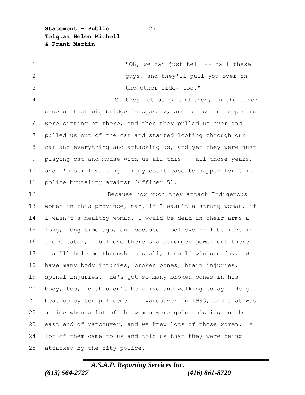**Statement - Public** 27 **Telquaa Helen Michell & Frank Martin**

1 The state of the set of the set of the set of the set of the set of the set of the set of the set of the set of the set of the set of the set of the set of the set of the set of the set of the set of the set of the set o guys, and they'll pull you over on the other side, too." So they let us go and then, on the other side of that big bridge in Agassiz, another set of cop cars were sitting on there, and then they pulled us over and pulled us out of the car and started looking through our car and everything and attacking us, and yet they were just playing cat and mouse with us all this -- all those years, and I'm still waiting for my court case to happen for this police brutality against [Officer 5]. 12 Because how much they attack Indigenous women in this province, man, if I wasn't a strong woman, if I wasn't a healthy woman, I would be dead in their arms a long, long time ago, and because I believe -- I believe in the Creator, I believe there's a stronger power out there that'll help me through this all, I could win one day.We have many body injuries, broken bones, brain injuries, spinal injuries.He's got so many broken bones in his body, too, he shouldn't be alive and walking today.He got beat up by ten policemen in Vancouver in 1993, and that was a time when a lot of the women were going missing on the east end of Vancouver, and we knew lots of those women.A lot of them came to us and told us that they were being attacked by the city police.

## *A.S.A.P. Reporting Services Inc. (613) 564-2727 (416) 861-8720*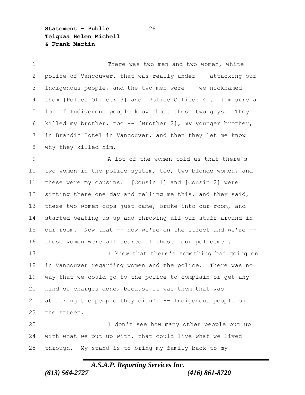**Statement - Public** 28 **Telquaa Helen Michell & Frank Martin**

1 There was two men and two women, white 2 police of Vancouver, that was really under -- attacking our Indigenous people, and the two men were -- we nicknamed them [Police Officer 3] and [Police Officer 4].I'm sure a lot of Indigenous people know about these two guys.They killed my brother, too -- [Brother 2], my younger brother, in Brandiz Hotel in Vancouver, and then they let me know why they killed him. A lot of the women told us that there's two women in the police system, too, two blonde women, and these were my cousins.[Cousin 1] and [Cousin 2] were 12 sitting there one day and telling me this, and they said, these two women cops just came, broke into our room, and started beating us up and throwing all our stuff around in our room.Now that -- now we're on the street and we're -- these women were all scared of these four policemen. 17 I knew that there's something bad going on in Vancouver regarding women and the police.There was no way that we could go to the police to complain or get any kind of charges done, because it was them that was attacking the people they didn't -- Indigenous people on the street. I don't see how many other people put up with what we put up with, that could live what we lived

through.My stand is to bring my family back to my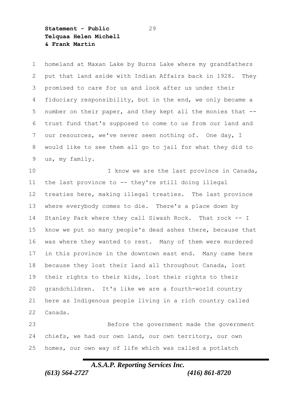**Statement - Public** 29 **Telquaa Helen Michell & Frank Martin**

 homeland at Maxan Lake by Burns Lake where my grandfathers put that land aside with Indian Affairs back in 1928.They promised to care for us and look after us under their fiduciary responsibility, but in the end, we only became a number on their paper, and they kept all the monies that -- trust fund that's supposed to come to us from our land and our resources, we've never seen nothing of.One day, I would like to see them all go to jail for what they did to us, my family.

10 10 I know we are the last province in Canada, the last province to -- they're still doing illegal treaties here, making illegal treaties.The last province where everybody comes to die.There's a place down by Stanley Park where they call Siwash Rock.That rock -- I know we put so many people's dead ashes there, because that was where they wanted to rest.Many of them were murdered in this province in the downtown east end.Many came here because they lost their land all throughout Canada, lost their rights to their kids, lost their rights to their grandchildren.It's like we are a fourth-world country here as Indigenous people living in a rich country called Canada.

 Before the government made the government chiefs, we had our own land, our own territory, our own homes, our own way of life which was called a potlatch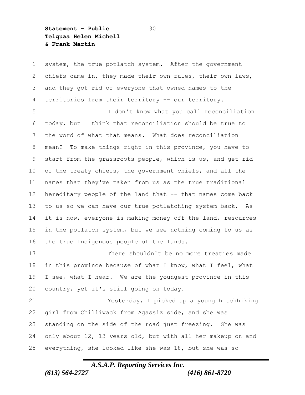**Statement - Public** 30 **Telquaa Helen Michell & Frank Martin**

 system, the true potlatch system.After the government chiefs came in, they made their own rules, their own laws, and they got rid of everyone that owned names to the territories from their territory -- our territory. I don't know what you call reconciliation today, but I think that reconciliation should be true to the word of what that means.What does reconciliation mean?To make things right in this province, you have to start from the grassroots people, which is us, and get rid of the treaty chiefs, the government chiefs, and all the names that they've taken from us as the true traditional 12 hereditary people of the land that -- that names come back to us so we can have our true potlatching system back.As it is now, everyone is making money off the land, resources in the potlatch system, but we see nothing coming to us as the true Indigenous people of the lands. There shouldn't be no more treaties made in this province because of what I know, what I feel, what I see, what I hear.We are the youngest province in this country, yet it's still going on today. Yesterday, I picked up a young hitchhiking girl from Chilliwack from Agassiz side, and she was standing on the side of the road just freezing.She was only about 12, 13 years old, but with all her makeup on and everything, she looked like she was 18, but she was so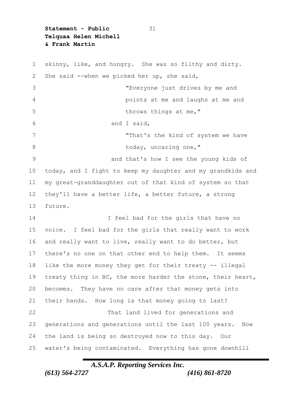**Statement - Public** 31 **Telquaa Helen Michell & Frank Martin**

 skinny, like, and hungry.She was so filthy and dirty. She said --when we picked her up, she said, "Everyone just drives by me and points at me and laughs at me and 5 throws things at me," and I said, "That's the kind of system we have 8 today, uncaring one," and that's how I see the young kids of today, and I fight to keep my daughter and my grandkids and my great-granddaughter out of that kind of system so that they'll have a better life, a better future, a strong future. 14 I feel bad for the girls that have no voice.I feel bad for the girls that really want to work and really want to live, really want to do better, but there's no one on that other end to help them.It seems like the more money they get for their treaty -- illegal 19 treaty thing in BC, the more harder the stone, their heart, becomes.They have no care after that money gets into their hands.How long is that money going to last? That land lived for generations and generations and generations until the last 100 years.Now the land is being so destroyed now to this day.Our water's being contaminated.Everything has gone downhill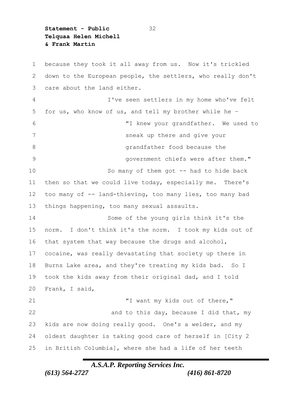**Statement - Public** 32 **Telquaa Helen Michell & Frank Martin**

 because they took it all away from us.Now it's trickled down to the European people, the settlers, who really don't care about the land either. I've seen settlers in my home who've felt for us, who know of us, and tell my brother while he – "I knew your grandfather.We used to sneak up there and give your 8 andfather food because the state of the state of the state of the state of the state of the state of the state of the state of the state of the state of the state of the state of the state of the state of the state of th government chiefs were after them." So many of them got -- had to hide back then so that we could live today, especially me.There's too many of -- land-thieving, too many lies, too many bad things happening, too many sexual assaults. Some of the young girls think it's the norm.I don't think it's the norm.I took my kids out of that system that way because the drugs and alcohol, cocaine, was really devastating that society up there in Burns Lake area, and they're treating my kids bad.So I took the kids away from their original dad, and I told Frank, I said, "I want my kids out of there," 22 and to this day, because I did that, my kids are now doing really good.One's a welder, and my oldest daughter is taking good care of herself in [City 2 in British Columbia], where she had a life of her teeth

*A.S.A.P. Reporting Services Inc.*

*(613) 564-2727 (416) 861-8720*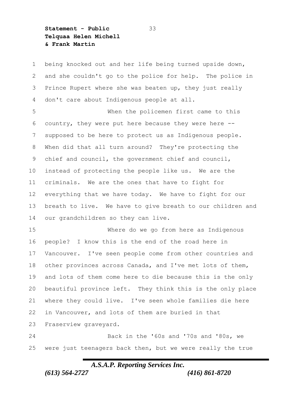**Statement - Public** 33 **Telquaa Helen Michell & Frank Martin**

 being knocked out and her life being turned upside down, and she couldn't go to the police for help.The police in Prince Rupert where she was beaten up, they just really don't care about Indigenous people at all. When the policemen first came to this country, they were put here because they were here -- supposed to be here to protect us as Indigenous people. When did that all turn around?They're protecting the chief and council, the government chief and council, instead of protecting the people like us.We are the criminals. We are the ones that have to fight for everything that we have today.We have to fight for our breath to live.We have to give breath to our children and our grandchildren so they can live. Where do we go from here as Indigenous people?I know this is the end of the road here in Vancouver.I've seen people come from other countries and other provinces across Canada, and I've met lots of them, and lots of them come here to die because this is the only beautiful province left.They think this is the only place where they could live.I've seen whole families die here in Vancouver, and lots of them are buried in that Fraserview graveyard.

 Back in the '60s and '70s and '80s, we were just teenagers back then, but we were really the true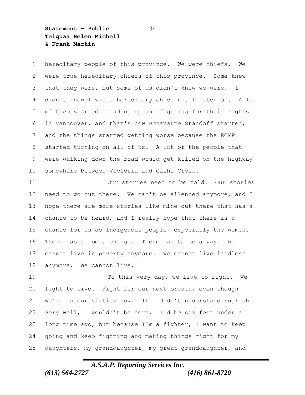**Statement - Public** 34 **Telquaa Helen Michell & Frank Martin**

 hereditary people of this province.We were chiefs.We were true hereditary chiefs of this province.Some knew that they were, but some of us didn't know we were.I didn't know I was a hereditary chief until later on.A lot of them started standing up and fighting for their rights in Vancouver, and that's how Bonaparte Standoff started, and the things started getting worse because the RCMP started turning on all of us.A lot of the people that were walking down the road would get killed on the highway somewhere between Victoria and Cache Creek.

 Our stories need to be told.Our stories need to go out there.We can't be silenced anymore, and I hope there are more stories like mine out there that has a chance to be heard, and I really hope that there is a chance for us as Indigenous people, especially the women. There has to be a change.There has to be a way.We cannot live in poverty anymore.We cannot live landless anymore.We cannot live.

 To this very day, we live to fight.We fight to live.Fight for our next breath, even though we're in our sixties now.If I didn't understand English very well, I wouldn't be here.I'd be six feet under a long time ago, but because I'm a fighter, I want to keep going and keep fighting and making things right for my daughters, my granddaughter, my great-granddaughter, and

## *A.S.A.P. Reporting Services Inc. (613) 564-2727 (416) 861-8720*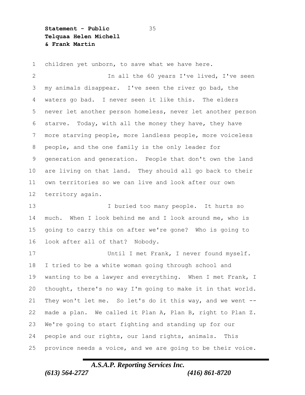**Statement - Public** 35 **Telquaa Helen Michell & Frank Martin**

 children yet unborn, to save what we have here. In all the 60 years I've lived, I've seen my animals disappear.I've seen the river go bad, the waters go bad.I never seen it like this.The elders never let another person homeless, never let another person starve.Today, with all the money they have, they have more starving people, more landless people, more voiceless people, and the one family is the only leader for generation and generation.People that don't own the land are living on that land.They should all go back to their own territories so we can live and look after our own territory again. I buried too many people.It hurts so much.When I look behind me and I look around me, who is going to carry this on after we're gone?Who is going to look after all of that?Nobody. Until I met Frank, I never found myself. I tried to be a white woman going through school and wanting to be a lawyer and everything.When I met Frank, I thought, there's no way I'm going to make it in that world. They won't let me.So let's do it this way, and we went -- made a plan.We called it Plan A, Plan B, right to Plan Z. We're going to start fighting and standing up for our people and our rights, our land rights, animals.This province needs a voice, and we are going to be their voice.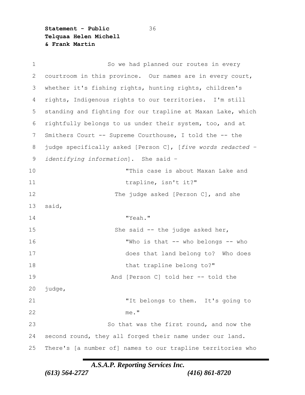**Statement - Public** 36 **Telquaa Helen Michell & Frank Martin**

| $\mathbf 1$ | So we had planned our routes in every                       |
|-------------|-------------------------------------------------------------|
| 2           | courtroom in this province. Our names are in every court,   |
| 3           | whether it's fishing rights, hunting rights, children's     |
| 4           | rights, Indigenous rights to our territories. I'm still     |
| 5           | standing and fighting for our trapline at Maxan Lake, which |
| 6           | rightfully belongs to us under their system, too, and at    |
| 7           | Smithers Court -- Supreme Courthouse, I told the -- the     |
| 8           | judge specifically asked [Person C], [five words redacted - |
| 9           | identifying information]. She said -                        |
| 10          | "This case is about Maxan Lake and                          |
| 11          | trapline, isn't it?"                                        |
| 12          | The judge asked [Person C], and she                         |
| 13          | said,                                                       |
| 14          | "Yeah."                                                     |
| 15          | She said $-$ the judge asked her,                           |
| 16          | "Who is that -- who belongs -- who                          |
| 17          | does that land belong to? Who does                          |
| 18          | that trapline belong to?"                                   |
| 19          | And [Person C] told her -- told the                         |
| 20          | judge,                                                      |
| 21          | "It belongs to them. It's going to                          |
| 22          | me."                                                        |
| 23          | So that was the first round, and now the                    |
| 24          | second round, they all forged their name under our land.    |
| 25          | There's [a number of] names to our trapline territories who |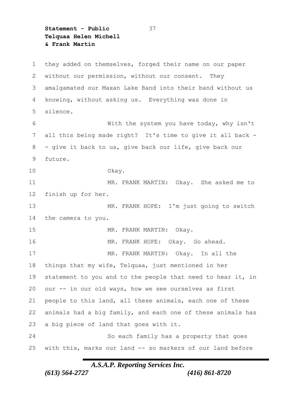**Statement - Public** 37 **Telquaa Helen Michell & Frank Martin**

 they added on themselves, forged their name on our paper without our permission, without our consent.They amalgamated our Maxan Lake Band into their band without us knowing, without asking us.Everything was done in silence. With the system you have today, why isn't all this being made right?It's time to give it all back - - give it back to us, give back our life, give back our future. Okay. MR. FRANK MARTIN:Okay.She asked me to finish up for her. MR. FRANK HOPE:I'm just going to switch the camera to you. MR. FRANK MARTIN:Okay. MR. FRANK HOPE:Okay.Go ahead. MR. FRANK MARTIN:Okay.In all the things that my wife, Telquaa, just mentioned in her 19 statement to you and to the people that need to hear it, in our -- in our old ways, how we see ourselves as first people to this land, all these animals, each one of these animals had a big family, and each one of these animals has a big piece of land that goes with it. So each family has a property that goes with this, marks our land -- so markers of our land before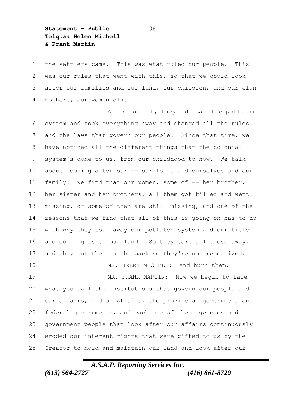**Statement - Public** 38 **Telquaa Helen Michell & Frank Martin**

 the settlers came.This was what ruled our people.This was our rules that went with this, so that we could look after our families and our land, our children, and our clan mothers, our womenfolk.

 After contact, they outlawed the potlatch system and took everything away and changed all the rules and the laws that govern our people.Since that time, we have noticed all the different things that the colonial system's done to us, from our childhood to now.We talk about looking after our -- our folks and ourselves and our 11 family. We find that our women, some of -- her brother, her sister and her brothers, all them got killed and went missing, or some of them are still missing, and one of the reasons that we find that all of this is going on has to do with why they took away our potlatch system and our title and our rights to our land.So they take all these away, and they put them in the back so they're not recognized. MS. HELEN MICHELL:And burn them. MR. FRANK MARTIN:Now we begin to face what you call the institutions that govern our people and our affairs, Indian Affairs, the provincial government and federal governments, and each one of them agencies and

 government people that look after our affairs continuously eroded our inherent rights that were gifted to us by the Creator to hold and maintain our land and look after our

## *A.S.A.P. Reporting Services Inc. (613) 564-2727 (416) 861-8720*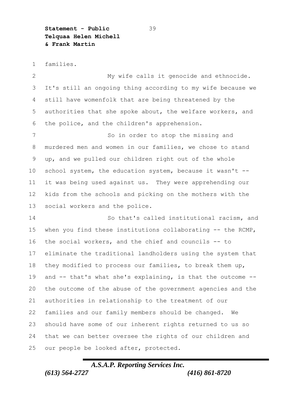**Statement - Public** 39 **Telquaa Helen Michell & Frank Martin**

families.

 My wife calls it genocide and ethnocide. It's still an ongoing thing according to my wife because we still have womenfolk that are being threatened by the authorities that she spoke about, the welfare workers, and the police, and the children's apprehension.

7 So in order to stop the missing and murdered men and women in our families, we chose to stand up, and we pulled our children right out of the whole school system, the education system, because it wasn't -- it was being used against us.They were apprehending our kids from the schools and picking on the mothers with the social workers and the police.

 So that's called institutional racism, and when you find these institutions collaborating -- the RCMP, the social workers, and the chief and councils -- to eliminate the traditional landholders using the system that they modified to process our families, to break them up, and -- that's what she's explaining, is that the outcome -- the outcome of the abuse of the government agencies and the authorities in relationship to the treatment of our families and our family members should be changed.We should have some of our inherent rights returned to us so that we can better oversee the rights of our children and our people be looked after, protected.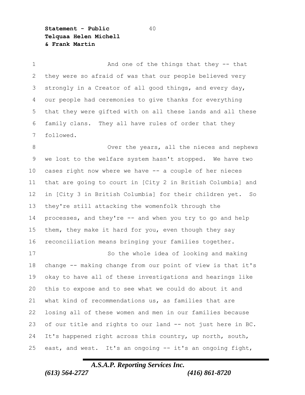**Statement - Public** 40 **Telquaa Helen Michell & Frank Martin**

1 And one of the things that they -- that they were so afraid of was that our people believed very strongly in a Creator of all good things, and every day, our people had ceremonies to give thanks for everything that they were gifted with on all these lands and all these family clans.They all have rules of order that they followed. 8 Over the years, all the nieces and nephews we lost to the welfare system hasn't stopped.We have two cases right now where we have -- a couple of her nieces that are going to court in [City 2 in British Columbia] and in [City 3 in British Columbia] for their children yet.So they're still attacking the womenfolk through the processes, and they're -- and when you try to go and help them, they make it hard for you, even though they say reconciliation means bringing your families together. So the whole idea of looking and making change -- making change from our point of view is that it's okay to have all of these investigations and hearings like

 this to expose and to see what we could do about it and what kind of recommendations us, as families that are losing all of these women and men in our families because of our title and rights to our land -- not just here in BC. It's happened right across this country, up north, south, east, and west.It's an ongoing -- it's an ongoing fight,

## *A.S.A.P. Reporting Services Inc. (613) 564-2727 (416) 861-8720*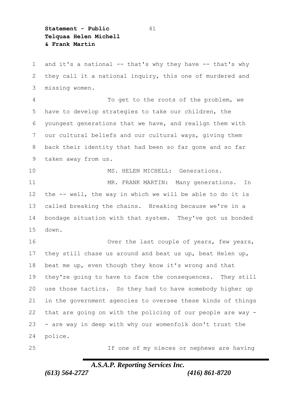**Statement - Public** 41 **Telquaa Helen Michell & Frank Martin**

 and it's a national -- that's why they have -- that's why they call it a national inquiry, this one of murdered and missing women.

 To get to the roots of the problem, we have to develop strategies to take our children, the youngest generations that we have, and realign them with our cultural beliefs and our cultural ways, giving them back their identity that had been so far gone and so far taken away from us.

10 MS. HELEN MICHELL: Generations.

 MR. FRANK MARTIN:Many generations.In the -- well, the way in which we will be able to do it is called breaking the chains.Breaking because we're in a bondage situation with that system.They've got us bonded down.

16 Over the last couple of years, few years, they still chase us around and beat us up, beat Helen up, beat me up, even though they know it's wrong and that they're going to have to face the consequences.They still use those tactics.So they had to have somebody higher up in the government agencies to oversee these kinds of things that are going on with the policing of our people are way - - are way in deep with why our womenfolk don't trust the police.

If one of my nieces or nephews are having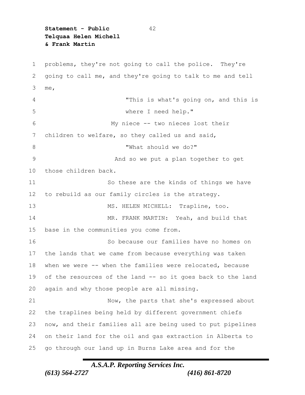**Statement - Public** 42 **Telquaa Helen Michell & Frank Martin**

 problems, they're not going to call the police.They're going to call me, and they're going to talk to me and tell me, "This is what's going on, and this is where I need help." My niece -- two nieces lost their children to welfare, so they called us and said, "What should we do?" And so we put a plan together to get those children back. So these are the kinds of things we have to rebuild as our family circles is the strategy. MS. HELEN MICHELL:Trapline, too. MR. FRANK MARTIN:Yeah, and build that base in the communities you come from. So because our families have no homes on the lands that we came from because everything was taken when we were -- when the families were relocated, because of the resources of the land -- so it goes back to the land again and why those people are all missing. Now, the parts that she's expressed about the traplines being held by different government chiefs now, and their families all are being used to put pipelines on their land for the oil and gas extraction in Alberta to go through our land up in Burns Lake area and for the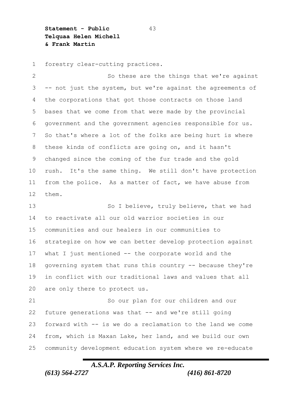**Statement - Public** 43 **Telquaa Helen Michell & Frank Martin**

forestry clear-cutting practices.

2 So these are the things that we're against -- not just the system, but we're against the agreements of the corporations that got those contracts on those land bases that we come from that were made by the provincial government and the government agencies responsible for us. So that's where a lot of the folks are being hurt is where these kinds of conflicts are going on, and it hasn't changed since the coming of the fur trade and the gold rush.It's the same thing.We still don't have protection from the police.As a matter of fact, we have abuse from them.

13 So I believe, truly believe, that we had to reactivate all our old warrior societies in our communities and our healers in our communities to strategize on how we can better develop protection against what I just mentioned -- the corporate world and the governing system that runs this country -- because they're in conflict with our traditional laws and values that all are only there to protect us.

 So our plan for our children and our future generations was that -- and we're still going forward with -- is we do a reclamation to the land we come from, which is Maxan Lake, her land, and we build our own community development education system where we re-educate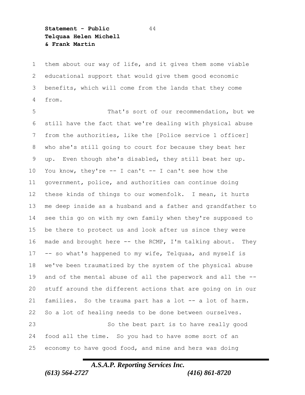**Statement - Public** 44 **Telquaa Helen Michell & Frank Martin**

 them about our way of life, and it gives them some viable educational support that would give them good economic benefits, which will come from the lands that they come from.

 That's sort of our recommendation, but we still have the fact that we're dealing with physical abuse from the authorities, like the [Police service 1 officer] who she's still going to court for because they beat her up.Even though she's disabled, they still beat her up. 10 You know, they're -- I can't -- I can't see how the government, police, and authorities can continue doing these kinds of things to our womenfolk.I mean, it hurts me deep inside as a husband and a father and grandfather to see this go on with my own family when they're supposed to be there to protect us and look after us since they were made and brought here -- the RCMP, I'm talking about.They -- so what's happened to my wife, Telquaa, and myself is we've been traumatized by the system of the physical abuse and of the mental abuse of all the paperwork and all the -- stuff around the different actions that are going on in our families.So the trauma part has a lot -- a lot of harm. So a lot of healing needs to be done between ourselves. So the best part is to have really good food all the time.So you had to have some sort of an economy to have good food, and mine and hers was doing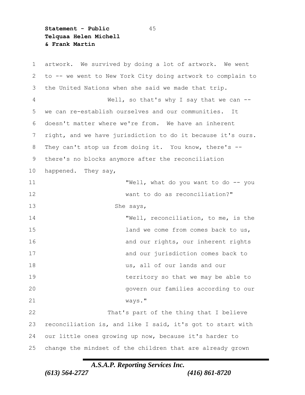**Statement - Public** 45 **Telquaa Helen Michell & Frank Martin**

 artwork.We survived by doing a lot of artwork.We went to -- we went to New York City doing artwork to complain to the United Nations when she said we made that trip. Well, so that's why I say that we can -- we can re-establish ourselves and our communities.It doesn't matter where we're from.We have an inherent right, and we have jurisdiction to do it because it's ours. They can't stop us from doing it.You know, there's -- there's no blocks anymore after the reconciliation happened.They say, "Well, what do you want to do -- you want to do as reconciliation?" She says, "Well, reconciliation, to me, is the **15 land we come from comes back to us,** 16 and our rights, our inherent rights and our jurisdiction comes back to us, all of our lands and our 19 territory so that we may be able to govern our families according to our ways." That's part of the thing that I believe reconciliation is, and like I said, it's got to start with our little ones growing up now, because it's harder to change the mindset of the children that are already grown

*A.S.A.P. Reporting Services Inc.*

*(613) 564-2727 (416) 861-8720*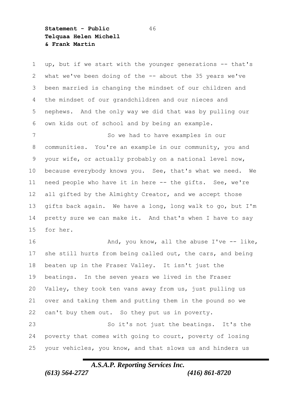**Statement - Public** 46 **Telquaa Helen Michell & Frank Martin**

1 up, but if we start with the younger generations -- that's what we've been doing of the -- about the 35 years we've been married is changing the mindset of our children and the mindset of our grandchildren and our nieces and nephews.And the only way we did that was by pulling our own kids out of school and by being an example.

 So we had to have examples in our communities.You're an example in our community, you and your wife, or actually probably on a national level now, because everybody knows you.See, that's what we need.We need people who have it in here -- the gifts.See, we're all gifted by the Almighty Creator, and we accept those gifts back again.We have a long, long walk to go, but I'm pretty sure we can make it.And that's when I have to say for her.

16 And, you know, all the abuse I've -- like, 17 she still hurts from being called out, the cars, and being beaten up in the Fraser Valley.It isn't just the beatings.In the seven years we lived in the Fraser Valley, they took ten vans away from us, just pulling us over and taking them and putting them in the pound so we can't buy them out.So they put us in poverty.

 So it's not just the beatings.It's the poverty that comes with going to court, poverty of losing your vehicles, you know, and that slows us and hinders us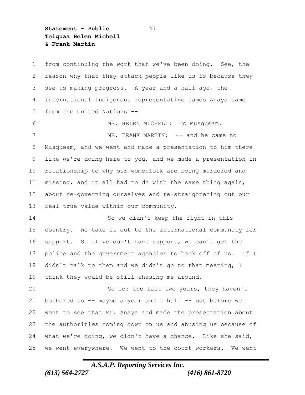**Statement - Public** 47 **Telquaa Helen Michell & Frank Martin**

 from continuing the work that we've been doing.See, the reason why that they attack people like us is because they see us making progress.A year and a half ago, the international Indigenous representative James Anaya came from the United Nations -- MS. HELEN MICHELL:To Musqueam. MR. FRANK MARTIN:-- and he came to Musqueam, and we went and made a presentation to him there like we're doing here to you, and we made a presentation in relationship to why our womenfolk are being murdered and missing, and it all had to do with the same thing again, about re-governing ourselves and re-straightening out our real true value within our community. So we didn't keep the fight in this country.We take it out to the international community for support.So if we don't have support, we can't get the police and the government agencies to back off of us.If I didn't talk to them and we didn't go to that meeting, I think they would be still chasing me around. So for the last two years, they haven't 21 bothered us -- maybe a year and a half -- but before we went to see that Mr. Anaya and made the presentation about the authorities coming down on us and abusing us because of what we're doing, we didn't have a chance.Like she said, we went everywhere.We went to the court workers.We went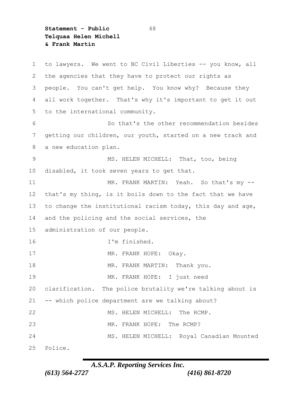**Statement - Public** 48 **Telquaa Helen Michell & Frank Martin**

 to lawyers.We went to BC Civil Liberties -- you know, all the agencies that they have to protect our rights as people.You can't get help.You know why?Because they all work together.That's why it's important to get it out to the international community. So that's the other recommendation besides getting our children, our youth, started on a new track and a new education plan. MS. HELEN MICHELL:That, too, being disabled, it took seven years to get that. MR. FRANK MARTIN:Yeah.So that's my -- that's my thing, is it boils down to the fact that we have to change the institutional racism today, this day and age, and the policing and the social services, the administration of our people. I'm finished. MR. FRANK HOPE:Okay. MR. FRANK MARTIN:Thank you. MR. FRANK HOPE:I just need clarification.The police brutality we're talking about is -- which police department are we talking about? 22 MS. HELEN MICHELL: The RCMP. MR. FRANK HOPE:The RCMP? MS. HELEN MICHELL:Royal Canadian Mounted Police.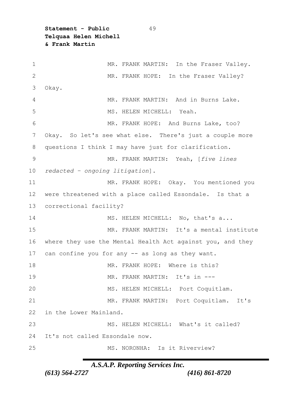**Statement - Public** 49 **Telquaa Helen Michell & Frank Martin**

 MR. FRANK MARTIN:In the Fraser Valley. MR. FRANK HOPE:In the Fraser Valley? Okay. MR. FRANK MARTIN:And in Burns Lake. MS. HELEN MICHELL:Yeah. MR. FRANK HOPE:And Burns Lake, too? Okay.So let's see what else.There's just a couple more questions I think I may have just for clarification. MR. FRANK MARTIN:Yeah, [*five lines redacted – ongoing litigation*]. MR. FRANK HOPE:Okay.You mentioned you were threatened with a place called Essondale.Is that a correctional facility? 14 MS. HELEN MICHELL: No, that's a... MR. FRANK MARTIN:It's a mental institute where they use the Mental Health Act against you, and they can confine you for any -- as long as they want. MR. FRANK HOPE:Where is this? MR. FRANK MARTIN:It's in --- MS. HELEN MICHELL:Port Coquitlam. MR. FRANK MARTIN:Port Coquitlam.It's in the Lower Mainland. MS. HELEN MICHELL:What's it called? It's not called Essondale now. MS. NORONHA:Is it Riverview?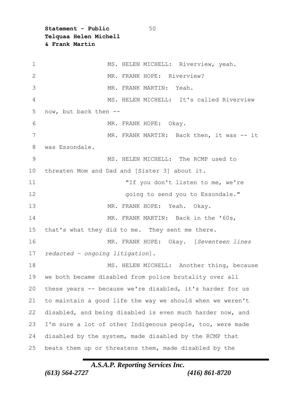**Statement - Public** 50 **Telquaa Helen Michell & Frank Martin**

 MS. HELEN MICHELL:Riverview, yeah. MR. FRANK HOPE:Riverview? MR. FRANK MARTIN:Yeah. MS. HELEN MICHELL:It's called Riverview now, but back then -- MR. FRANK HOPE:Okay. MR. FRANK MARTIN:Back then, it was -- it was Essondale. MS. HELEN MICHELL:The RCMP used to threaten Mom and Dad and [Sister 3] about it. "If you don't listen to me, we're going to send you to Essondale." MR. FRANK HOPE:Yeah.Okay. MR. FRANK MARTIN:Back in the '60s, that's what they did to me.They sent me there. MR. FRANK HOPE:Okay.[*Seventeen lines redacted – ongoing litigation*]. MS. HELEN MICHELL:Another thing, because we both became disabled from police brutality over all these years -- because we're disabled, it's harder for us to maintain a good life the way we should when we weren't disabled, and being disabled is even much harder now, and I'm sure a lot of other Indigenous people, too, were made disabled by the system, made disabled by the RCMP that beats them up or threatens them, made disabled by the

### *A.S.A.P. Reporting Services Inc. (613) 564-2727 (416) 861-8720*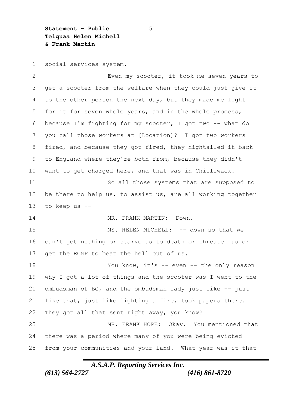**Statement - Public** 51 **Telquaa Helen Michell & Frank Martin**

social services system.

 Even my scooter, it took me seven years to get a scooter from the welfare when they could just give it to the other person the next day, but they made me fight for it for seven whole years, and in the whole process, because I'm fighting for my scooter, I got two -- what do you call those workers at [Location]?I got two workers fired, and because they got fired, they hightailed it back to England where they're both from, because they didn't want to get charged here, and that was in Chilliwack. So all those systems that are supposed to be there to help us, to assist us, are all working together to keep us -- MR. FRANK MARTIN:Down. MS. HELEN MICHELL:-- down so that we can't get nothing or starve us to death or threaten us or get the RCMP to beat the hell out of us. 18 You know, it's -- even -- the only reason why I got a lot of things and the scooter was I went to the 20 ombudsman of  $BC$ , and the ombudsman lady just like  $-$ - just like that, just like lighting a fire, took papers there. They got all that sent right away, you know? MR. FRANK HOPE:Okay.You mentioned that there was a period where many of you were being evicted from your communities and your land.What year was it that

*A.S.A.P. Reporting Services Inc.*

*(613) 564-2727 (416) 861-8720*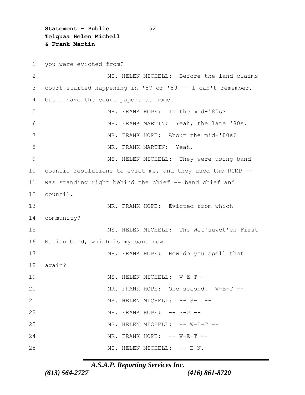**Statement - Public** 52 **Telquaa Helen Michell & Frank Martin**

 you were evicted from? MS. HELEN MICHELL:Before the land claims court started happening in '87 or '89 -- I can't remember, but I have the court papers at home. MR. FRANK HOPE:In the mid-'80s? MR. FRANK MARTIN:Yeah, the late '80s. MR. FRANK HOPE:About the mid-'80s? MR. FRANK MARTIN:Yeah. MS. HELEN MICHELL:They were using band council resolutions to evict me, and they used the RCMP -- was standing right behind the chief -- band chief and council. MR. FRANK HOPE:Evicted from which community? MS. HELEN MICHELL:The Wet'suwet'en First Nation band, which is my band now. MR. FRANK HOPE:How do you spell that again? MS. HELEN MICHELL:W-E-T -- MR. FRANK HOPE:One second.W-E-T -- MS. HELEN MICHELL:-- S-U -- MR. FRANK HOPE:-- S-U -- MS. HELEN MICHELL:-- W-E-T -- MR. FRANK HOPE:-- W-E-T -- MS. HELEN MICHELL:-- E-N.

### *A.S.A.P. Reporting Services Inc.*

*(613) 564-2727 (416) 861-8720*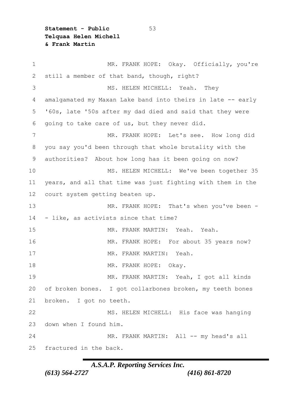**Statement - Public** 53 **Telquaa Helen Michell & Frank Martin**

 MR. FRANK HOPE:Okay.Officially, you're still a member of that band, though, right? MS. HELEN MICHELL:Yeah.They amalgamated my Maxan Lake band into theirs in late -- early '60s, late '50s after my dad died and said that they were going to take care of us, but they never did. MR. FRANK HOPE:Let's see.How long did you say you'd been through that whole brutality with the authorities?About how long has it been going on now? MS. HELEN MICHELL:We've been together 35 years, and all that time was just fighting with them in the court system getting beaten up. MR. FRANK HOPE:That's when you've been - - like, as activists since that time? MR. FRANK MARTIN:Yeah.Yeah. MR. FRANK HOPE:For about 35 years now? MR. FRANK MARTIN:Yeah. MR. FRANK HOPE:Okay. MR. FRANK MARTIN:Yeah, I got all kinds of broken bones.I got collarbones broken, my teeth bones broken.I got no teeth. MS. HELEN MICHELL:His face was hanging down when I found him. 24 MR. FRANK MARTIN: All -- my head's all fractured in the back.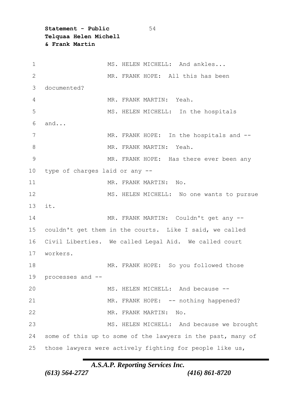**Statement - Public** 54 **Telquaa Helen Michell & Frank Martin**

| $\mathbf 1$   | MS. HELEN MICHELL: And ankles                               |
|---------------|-------------------------------------------------------------|
| $\mathbf{2}$  | MR. FRANK HOPE: All this has been                           |
| 3             | documented?                                                 |
| 4             | MR. FRANK MARTIN: Yeah.                                     |
| 5             | MS. HELEN MICHELL: In the hospitals                         |
| 6             | and                                                         |
| 7             | MR. FRANK HOPE: In the hospitals and --                     |
| 8             | MR. FRANK MARTIN: Yeah.                                     |
| $\mathcal{G}$ | MR. FRANK HOPE: Has there ever been any                     |
| 10            | type of charges laid or any --                              |
| 11            | MR. FRANK MARTIN:<br>$N \circ$ .                            |
| 12            | MS. HELEN MICHELL: No one wants to pursue                   |
| 13            | it.                                                         |
| 14            | MR. FRANK MARTIN: Couldn't get any --                       |
| 15            | couldn't get them in the courts. Like I said, we called     |
| 16            | Civil Liberties. We called Legal Aid. We called court       |
| 17            | workers.                                                    |
| 18            | MR. FRANK HOPE: So you followed those                       |
| 19            | processes and --                                            |
| 20            | MS. HELEN MICHELL: And because --                           |
| 21            | MR. FRANK HOPE: -- nothing happened?                        |
| 22            | MR. FRANK MARTIN:<br>No.                                    |
| 23            | MS. HELEN MICHELL: And because we brought                   |
| 24            | some of this up to some of the lawyers in the past, many of |
| 25            | those lawyers were actively fighting for people like us,    |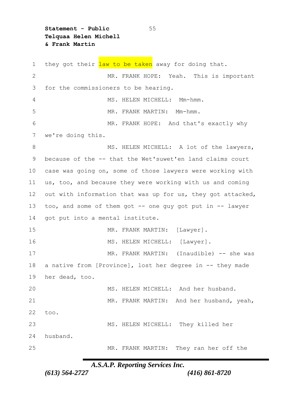**Statement - Public** 55 **Telquaa Helen Michell & Frank Martin**

1 they got their law to be taken away for doing that. MR. FRANK HOPE:Yeah.This is important for the commissioners to be hearing. MS. HELEN MICHELL:Mm-hmm. MR. FRANK MARTIN:Mm-hmm. MR. FRANK HOPE:And that's exactly why we're doing this. 8 MS. HELEN MICHELL: A lot of the lawyers, because of the -- that the Wet'suwet'en land claims court case was going on, some of those lawyers were working with us, too, and because they were working with us and coming 12 out with information that was up for us, they got attacked, too, and some of them got -- one guy got put in -- lawyer got put into a mental institute. MR. FRANK MARTIN:[Lawyer]. 16 MS. HELEN MICHELL: [Lawyer]. MR. FRANK MARTIN:(Inaudible) -- she was 18 a native from [Province], lost her degree in -- they made her dead, too. MS. HELEN MICHELL:And her husband. MR. FRANK MARTIN:And her husband, yeah, too. MS. HELEN MICHELL:They killed her husband. MR. FRANK MARTIN:They ran her off the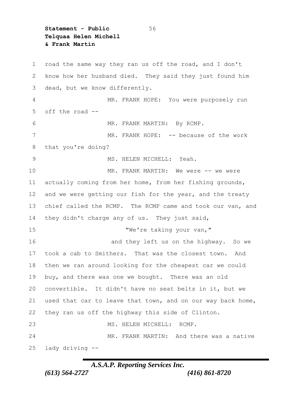**Statement - Public** 56 **Telquaa Helen Michell & Frank Martin**

 road the same way they ran us off the road, and I don't know how her husband died.They said they just found him dead, but we know differently. MR. FRANK HOPE:You were purposely run off the road -- MR. FRANK MARTIN:By RCMP. 7 MR. FRANK HOPE: -- because of the work that you're doing? MS. HELEN MICHELL:Yeah. MR. FRANK MARTIN:We were -- we were actually coming from her home, from her fishing grounds, 12 and we were getting our fish for the year, and the treaty chief called the RCMP.The RCMP came and took our van, and they didn't charge any of us.They just said, 15 "We're taking your van," and they left us on the highway.So we took a cab to Smithers.That was the closest town.And then we ran around looking for the cheapest car we could buy, and there was one we bought.There was an old convertible.It didn't have no seat belts in it, but we used that car to leave that town, and on our way back home, they ran us off the highway this side of Clinton. MS. HELEN MICHELL:RCMP. MR. FRANK MARTIN:And there was a native lady driving --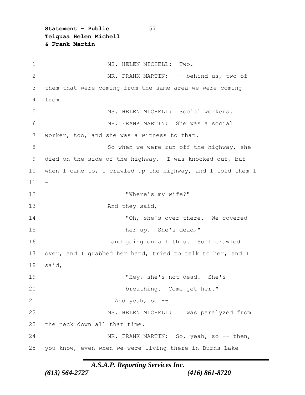**Statement - Public** 57 **Telquaa Helen Michell & Frank Martin**

1 MS. HELEN MICHELL: Two. MR. FRANK MARTIN:-- behind us, two of them that were coming from the same area we were coming from. MS. HELEN MICHELL:Social workers. MR. FRANK MARTIN:She was a social worker, too, and she was a witness to that. 8 So when we were run off the highway, she died on the side of the highway.I was knocked out, but 10 when I came to, I crawled up the highway, and I told them I – "Where's my wife?" 13 And they said, "Oh, she's over there.We covered her up.She's dead," and going on all this.So I crawled over, and I grabbed her hand, tried to talk to her, and I said, "Hey, she's not dead.She's breathing.Come get her." And yeah, so -- MS. HELEN MICHELL:I was paralyzed from the neck down all that time. MR. FRANK MARTIN:So, yeah, so -- then, you know, even when we were living there in Burns Lake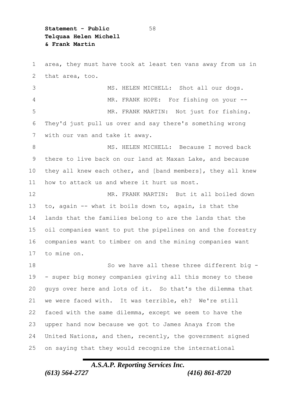**Statement - Public** 58 **Telquaa Helen Michell & Frank Martin**

 area, they must have took at least ten vans away from us in that area, too. MS. HELEN MICHELL:Shot all our dogs. MR. FRANK HOPE:For fishing on your -- MR. FRANK MARTIN:Not just for fishing. They'd just pull us over and say there's something wrong with our van and take it away. MS. HELEN MICHELL:Because I moved back there to live back on our land at Maxan Lake, and because they all knew each other, and [band members], they all knew how to attack us and where it hurt us most. MR. FRANK MARTIN:But it all boiled down to, again -- what it boils down to, again, is that the lands that the families belong to are the lands that the oil companies want to put the pipelines on and the forestry companies want to timber on and the mining companies want to mine on. 18 So we have all these three different big - - super big money companies giving all this money to these guys over here and lots of it.So that's the dilemma that we were faced with.It was terrible, eh?We're still faced with the same dilemma, except we seem to have the upper hand now because we got to James Anaya from the United Nations, and then, recently, the government signed on saying that they would recognize the international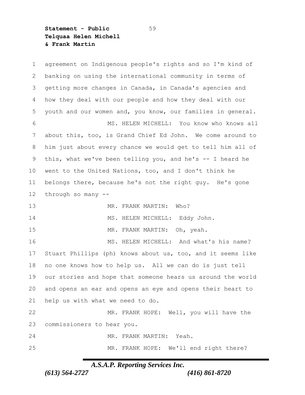**Statement - Public** 59 **Telquaa Helen Michell & Frank Martin**

 agreement on Indigenous people's rights and so I'm kind of banking on using the international community in terms of getting more changes in Canada, in Canada's agencies and how they deal with our people and how they deal with our youth and our women and, you know, our families in general. MS. HELEN MICHELL:You know who knows all about this, too, is Grand Chief Ed John.We come around to him just about every chance we would get to tell him all of this, what we've been telling you, and he's -- I heard he went to the United Nations, too, and I don't think he belongs there, because he's not the right guy.He's gone through so many -- MR. FRANK MARTIN:Who? MS. HELEN MICHELL:Eddy John. MR. FRANK MARTIN:Oh, yeah. MS. HELEN MICHELL:And what's his name? Stuart Phillips (ph) knows about us, too, and it seems like no one knows how to help us.All we can do is just tell our stories and hope that someone hears us around the world and opens an ear and opens an eye and opens their heart to help us with what we need to do. MR. FRANK HOPE:Well, you will have the commissioners to hear you. MR. FRANK MARTIN:Yeah. MR. FRANK HOPE:We'll end right there?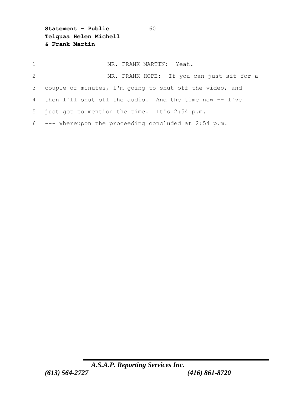**Statement - Public** 60 **Telquaa Helen Michell & Frank Martin**

| $\mathbf{1}$ | MR. FRANK MARTIN: Yeah.                                   |
|--------------|-----------------------------------------------------------|
| 2            | MR. FRANK HOPE: If you can just sit for a                 |
|              | 3 couple of minutes, I'm going to shut off the video, and |
|              | 4 then I'll shut off the audio. And the time now -- I've  |
|              | 5 just got to mention the time. It's 2:54 p.m.            |
|              | $6$ --- Whereupon the proceeding concluded at 2:54 p.m.   |